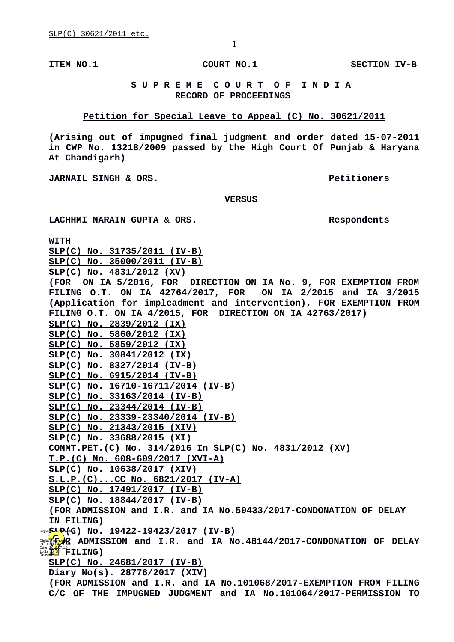**ITEM NO.1 COURT NO.1 SECTION IV-B**

## **S U P R E M E C O U R T O F I N D I A RECORD OF PROCEEDINGS**

### **Petition for Special Leave to Appeal (C) No. 30621/2011**

**(Arising out of impugned final judgment and order dated 15-07-2011 in CWP No. 13218/2009 passed by the High Court Of Punjab & Haryana At Chandigarh)**

**JARNAIL SINGH & ORS. Petitioners**

 **VERSUS**

#### **LACHHMI NARAIN GUPTA & ORS. Respondents**

**WITH**

**SLP(C) No. 31735/2011 (IV-B) SLP(C) No. 35000/2011 (IV-B) SLP(C) No. 4831/2012 (XV) (FOR ON IA 5/2016, FOR DIRECTION ON IA No. 9, FOR EXEMPTION FROM FILING 0.T. ON IA 42764/2017, FOR (Application for impleadment and intervention), FOR EXEMPTION FROM FILING O.T. ON IA 4/2015, FOR DIRECTION ON IA 42763/2017) SLP(C) No. 2839/2012 (IX) SLP(C) No. 5860/2012 (IX) SLP(C) No. 5859/2012 (IX) SLP(C) No. 30841/2012 (IX) SLP(C) No. 8327/2014 (IV-B) SLP(C) No. 6915/2014 (IV-B) SLP(C) No. 16710-16711/2014 (IV-B) SLP(C) No. 33163/2014 (IV-B) SLP(C) No. 23344/2014 (IV-B) SLP(C) No. 23339-23340/2014 (IV-B) SLP(C) No. 21343/2015 (XIV) SLP(C) No. 33688/2015 (XI) CONMT.PET.(C) No. 314/2016 In SLP(C) No. 4831/2012 (XV) T.P.(C) No. 608-609/2017 (XVI-A) SLP(C) No. 10638/2017 (XIV) S.L.P.(C)...CC No. 6821/2017 (IV-A) SLP(C) No. 17491/2017 (IV-B) SLP(C) No. 18844/2017 (IV-B) (FOR ADMISSION and I.R. and IA No.50433/2017-CONDONATION OF DELAY IN FILING)** Signa**GE<u>No</u>P4[IC] NO. 19422-19423/2017 (IV-B) DGRAMISSION AND I.R. AND IA NO.48144/2017-CONDONATION OF DELAY** Date: 201<mark>8.0</mark>7.12<br>Reason: **Bullet FILING**) **SLP(C) No. 24681/2017 (IV-B) Diary No(s). 28776/2017 (XIV) (FOR ADMISSION and I.R. and IA No.101068/2017-EXEMPTION FROM FILING C/C OF THE IMPUGNED JUDGMENT and IA No.101064/2017-PERMISSION TO**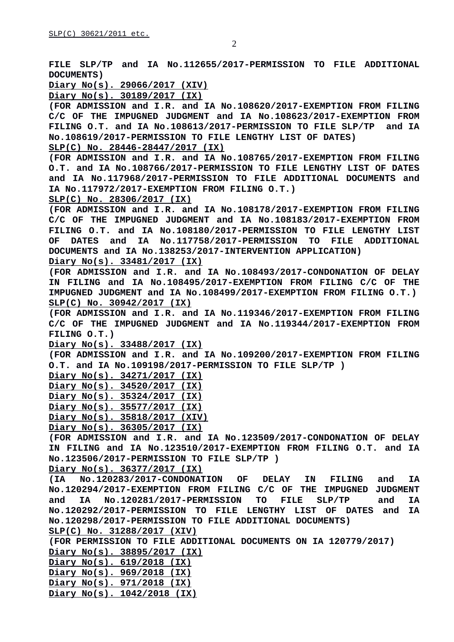**FILE SLP/TP and IA No.112655/2017-PERMISSION TO FILE ADDITIONAL DOCUMENTS)**

**Diary No(s). 29066/2017 (XIV)**

**Diary No(s). 30189/2017 (IX)**

**(FOR ADMISSION and I.R. and IA No.108620/2017-EXEMPTION FROM FILING C/C OF THE IMPUGNED JUDGMENT and IA No.108623/2017-EXEMPTION FROM FILING O.T. and IA No.108613/2017-PERMISSION TO FILE SLP/TP and IA No.108619/2017-PERMISSION TO FILE LENGTHY LIST OF DATES)**

**SLP(C) No. 28446-28447/2017 (IX)**

**(FOR ADMISSION and I.R. and IA No.108765/2017-EXEMPTION FROM FILING O.T. and IA No.108766/2017-PERMISSION TO FILE LENGTHY LIST OF DATES and IA No.117968/2017-PERMISSION TO FILE ADDITIONAL DOCUMENTS and IA No.117972/2017-EXEMPTION FROM FILING O.T.)**

**SLP(C) No. 28306/2017 (IX)**

**(FOR ADMISSION and I.R. and IA No.108178/2017-EXEMPTION FROM FILING C/C OF THE IMPUGNED JUDGMENT and IA No.108183/2017-EXEMPTION FROM FILING O.T. and IA No.108180/2017-PERMISSION TO FILE LENGTHY LIST OF DATES and IA No.117758/2017-PERMISSION TO FILE ADDITIONAL DOCUMENTS and IA No.138253/2017-INTERVENTION APPLICATION)**

**Diary No(s). 33481/2017 (IX)**

**(FOR ADMISSION and I.R. and IA No.108493/2017-CONDONATION OF DELAY IN FILING and IA No.108495/2017-EXEMPTION FROM FILING C/C OF THE IMPUGNED JUDGMENT and IA No.108499/2017-EXEMPTION FROM FILING O.T.) SLP(C) No. 30942/2017 (IX)**

**(FOR ADMISSION and I.R. and IA No.119346/2017-EXEMPTION FROM FILING C/C OF THE IMPUGNED JUDGMENT and IA No.119344/2017-EXEMPTION FROM FILING O.T.)**

**Diary No(s). 33488/2017 (IX)**

**(FOR ADMISSION and I.R. and IA No.109200/2017-EXEMPTION FROM FILING O.T. and IA No.109198/2017-PERMISSION TO FILE SLP/TP )**

**Diary No(s). 34271/2017 (IX)**

**Diary No(s). 34520/2017 (IX)**

**Diary No(s). 35324/2017 (IX)**

**Diary No(s). 35577/2017 (IX)**

**Diary No(s). 35818/2017 (XIV)**

**Diary No(s). 36305/2017 (IX)**

**(FOR ADMISSION and I.R. and IA No.123509/2017-CONDONATION OF DELAY IN FILING and IA No.123510/2017-EXEMPTION FROM FILING O.T. and IA No.123506/2017-PERMISSION TO FILE SLP/TP )**

**Diary No(s). 36377/2017 (IX)**

**(IA No.120283/2017-CONDONATION OF DELAY IN FILING and IA No.120294/2017-EXEMPTION FROM FILING C/C OF THE IMPUGNED JUDGMENT and IA No.120281/2017-PERMISSION TO FILE SLP/TP and IA No.120292/2017-PERMISSION TO FILE LENGTHY LIST OF DATES and IA No.120298/2017-PERMISSION TO FILE ADDITIONAL DOCUMENTS)**

**SLP(C) No. 31288/2017 (XIV)**

**(FOR PERMISSION TO FILE ADDITIONAL DOCUMENTS ON IA 120779/2017) Diary No(s). 38895/2017 (IX)**

**Diary No(s). 619/2018 (IX) Diary No(s). 969/2018 (IX)**

**Diary No(s). 971/2018 (IX)**

**Diary No(s). 1042/2018 (IX)**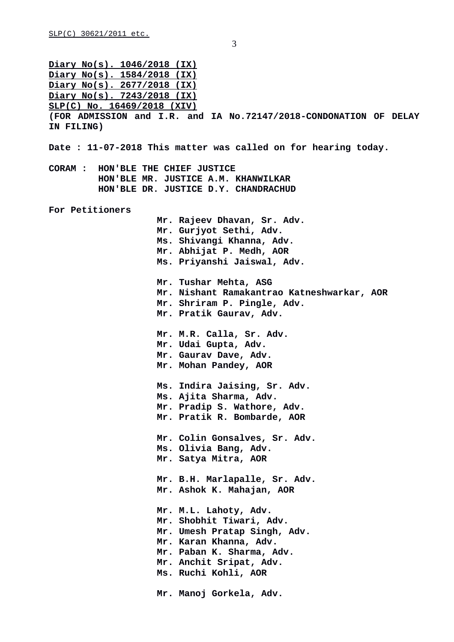**Diary No(s). 1046/2018 (IX) Diary No(s). 1584/2018 (IX) Diary No(s). 2677/2018 (IX) Diary No(s). 7243/2018 (IX) SLP(C) No. 16469/2018 (XIV) (FOR ADMISSION and I.R. and IA No.72147/2018-CONDONATION OF DELAY IN FILING) Date : 11-07-2018 This matter was called on for hearing today. CORAM : HON'BLE THE CHIEF JUSTICE HON'BLE MR. JUSTICE A.M. KHANWILKAR HON'BLE DR. JUSTICE D.Y. CHANDRACHUD For Petitioners Mr. Rajeev Dhavan, Sr. Adv. Mr. Gurjyot Sethi, Adv. Ms. Shivangi Khanna, Adv. Mr. Abhijat P. Medh, AOR Ms. Priyanshi Jaiswal, Adv. Mr. Tushar Mehta, ASG Mr. Nishant Ramakantrao Katneshwarkar, AOR Mr. Shriram P. Pingle, Adv. Mr. Pratik Gaurav, Adv. Mr. M.R. Calla, Sr. Adv. Mr. Udai Gupta, Adv. Mr. Gaurav Dave, Adv. Mr. Mohan Pandey, AOR Ms. Indira Jaising, Sr. Adv. Ms. Ajita Sharma, Adv. Mr. Pradip S. Wathore, Adv. Mr. Pratik R. Bombarde, AOR Mr. Colin Gonsalves, Sr. Adv. Ms. Olivia Bang, Adv. Mr. Satya Mitra, AOR Mr. B.H. Marlapalle, Sr. Adv. Mr. Ashok K. Mahajan, AOR Mr. M.L. Lahoty, Adv. Mr. Shobhit Tiwari, Adv. Mr. Umesh Pratap Singh, Adv. Mr. Karan Khanna, Adv. Mr. Paban K. Sharma, Adv. Mr. Anchit Sripat, Adv. Ms. Ruchi Kohli, AOR Mr. Manoj Gorkela, Adv.**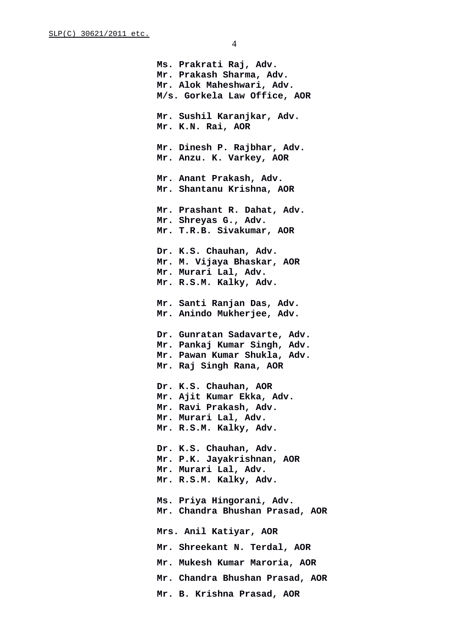**Ms. Prakrati Raj, Adv. Mr. Prakash Sharma, Adv. Mr. Alok Maheshwari, Adv. M/s. Gorkela Law Office, AOR Mr. Sushil Karanjkar, Adv. Mr. K.N. Rai, AOR Mr. Dinesh P. Rajbhar, Adv. Mr. Anzu. K. Varkey, AOR Mr. Anant Prakash, Adv. Mr. Shantanu Krishna, AOR Mr. Prashant R. Dahat, Adv. Mr. Shreyas G., Adv. Mr. T.R.B. Sivakumar, AOR Dr. K.S. Chauhan, Adv. Mr. M. Vijaya Bhaskar, AOR Mr. Murari Lal, Adv. Mr. R.S.M. Kalky, Adv. Mr. Santi Ranjan Das, Adv. Mr. Anindo Mukherjee, Adv. Dr. Gunratan Sadavarte, Adv. Mr. Pankaj Kumar Singh, Adv. Mr. Pawan Kumar Shukla, Adv. Mr. Raj Singh Rana, AOR Dr. K.S. Chauhan, AOR Mr. Ajit Kumar Ekka, Adv. Mr. Ravi Prakash, Adv. Mr. Murari Lal, Adv. Mr. R.S.M. Kalky, Adv. Dr. K.S. Chauhan, Adv. Mr. P.K. Jayakrishnan, AOR Mr. Murari Lal, Adv. Mr. R.S.M. Kalky, Adv. Ms. Priya Hingorani, Adv. Mr. Chandra Bhushan Prasad, AOR Mrs. Anil Katiyar, AOR Mr. Shreekant N. Terdal, AOR Mr. Mukesh Kumar Maroria, AOR Mr. Chandra Bhushan Prasad, AOR Mr. B. Krishna Prasad, AOR**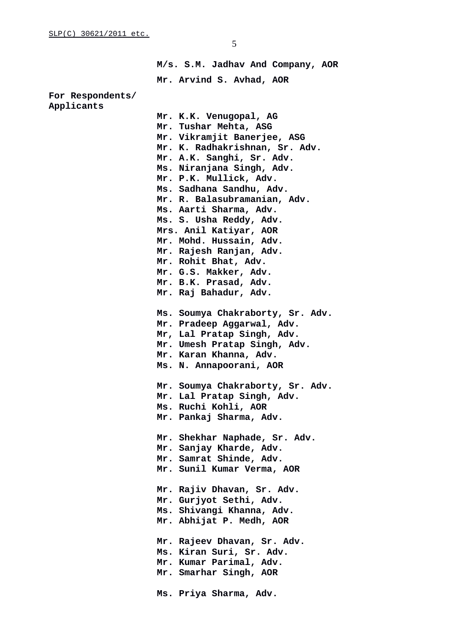**M/s. S.M. Jadhav And Company, AOR Mr. Arvind S. Avhad, AOR**

### **For Respondents/ Applicants**

**Mr. K.K. Venugopal, AG Mr. Tushar Mehta, ASG Mr. Vikramjit Banerjee, ASG Mr. K. Radhakrishnan, Sr. Adv. Mr. A.K. Sanghi, Sr. Adv. Ms. Niranjana Singh, Adv. Mr. P.K. Mullick, Adv. Ms. Sadhana Sandhu, Adv. Mr. R. Balasubramanian, Adv. Ms. Aarti Sharma, Adv. Ms. S. Usha Reddy, Adv. Mrs. Anil Katiyar, AOR Mr. Mohd. Hussain, Adv. Mr. Rajesh Ranjan, Adv. Mr. Rohit Bhat, Adv. Mr. G.S. Makker, Adv. Mr. B.K. Prasad, Adv. Mr. Raj Bahadur, Adv. Ms. Soumya Chakraborty, Sr. Adv. Mr. Pradeep Aggarwal, Adv. Mr, Lal Pratap Singh, Adv. Mr. Umesh Pratap Singh, Adv. Mr. Karan Khanna, Adv. Ms. N. Annapoorani, AOR Mr. Soumya Chakraborty, Sr. Adv. Mr. Lal Pratap Singh, Adv. Ms. Ruchi Kohli, AOR Mr. Pankaj Sharma, Adv. Mr. Shekhar Naphade, Sr. Adv. Mr. Sanjay Kharde, Adv. Mr. Samrat Shinde, Adv. Mr. Sunil Kumar Verma, AOR Mr. Rajiv Dhavan, Sr. Adv. Mr. Gurjyot Sethi, Adv. Ms. Shivangi Khanna, Adv. Mr. Abhijat P. Medh, AOR Mr. Rajeev Dhavan, Sr. Adv. Ms. Kiran Suri, Sr. Adv. Mr. Kumar Parimal, Adv. Mr. Smarhar Singh, AOR Ms. Priya Sharma, Adv.**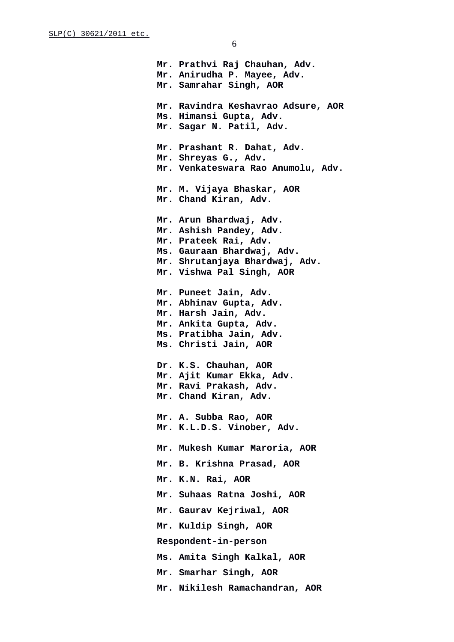**Mr. Prathvi Raj Chauhan, Adv. Mr. Anirudha P. Mayee, Adv. Mr. Samrahar Singh, AOR Mr. Ravindra Keshavrao Adsure, AOR Ms. Himansi Gupta, Adv. Mr. Sagar N. Patil, Adv. Mr. Prashant R. Dahat, Adv. Mr. Shreyas G., Adv. Mr. Venkateswara Rao Anumolu, Adv. Mr. M. Vijaya Bhaskar, AOR Mr. Chand Kiran, Adv. Mr. Arun Bhardwaj, Adv. Mr. Ashish Pandey, Adv. Mr. Prateek Rai, Adv. Ms. Gauraan Bhardwaj, Adv. Mr. Shrutanjaya Bhardwaj, Adv. Mr. Vishwa Pal Singh, AOR Mr. Puneet Jain, Adv. Mr. Abhinav Gupta, Adv. Mr. Harsh Jain, Adv. Mr. Ankita Gupta, Adv. Ms. Pratibha Jain, Adv. Ms. Christi Jain, AOR Dr. K.S. Chauhan, AOR Mr. Ajit Kumar Ekka, Adv. Mr. Ravi Prakash, Adv. Mr. Chand Kiran, Adv. Mr. A. Subba Rao, AOR Mr. K.L.D.S. Vinober, Adv. Mr. Mukesh Kumar Maroria, AOR Mr. B. Krishna Prasad, AOR Mr. K.N. Rai, AOR Mr. Suhaas Ratna Joshi, AOR Mr. Gaurav Kejriwal, AOR Mr. Kuldip Singh, AOR Respondent-in-person Ms. Amita Singh Kalkal, AOR Mr. Smarhar Singh, AOR Mr. Nikilesh Ramachandran, AOR**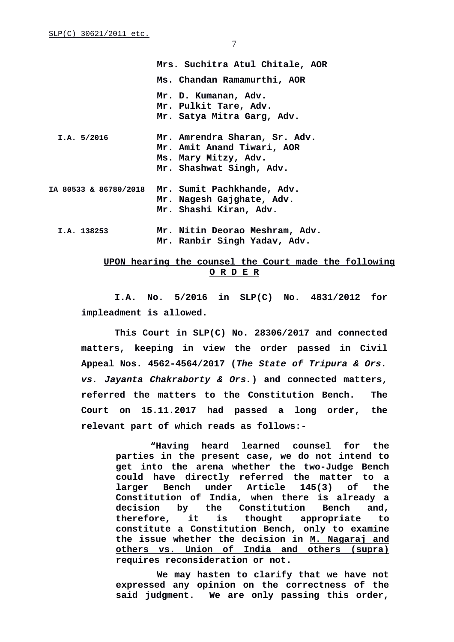|             | Mrs. Suchitra Atul Chitale, AOR                                                                                 |
|-------------|-----------------------------------------------------------------------------------------------------------------|
|             | Ms. Chandan Ramamurthi, AOR                                                                                     |
|             | Mr. D. Kumanan, Adv.<br>Mr. Pulkit Tare, Adv.<br>Mr. Satya Mitra Garg, Adv.                                     |
| I.A. 5/2016 | Mr. Amrendra Sharan, Sr. Adv.<br>Mr. Amit Anand Tiwari, AOR<br>Ms. Mary Mitzy, Adv.<br>Mr. Shashwat Singh, Adv. |
|             | 1A 80533 & 86780/2018  Mr. Sumit Pachkhande, Adv.<br>Mr. Nagesh Gajghate, Adv.<br>Mr. Shashi Kiran, Adv.        |
| I.A. 138253 | Mr. Nitin Deorao Meshram, Adv.<br>Mr. Ranbir Singh Yadav, Adv.                                                  |

# **UPON hearing the counsel the Court made the following O R D E R**

**I.A. No. 5/2016 in SLP(C) No. 4831/2012 for impleadment is allowed.**

**This Court in SLP(C) No. 28306/2017 and connected matters, keeping in view the order passed in Civil Appeal Nos. 4562-4564/2017 (***The State of Tripura & Ors. vs. Jayanta Chakraborty & Ors.***) and connected matters, referred the matters to the Constitution Bench. The Court on 15.11.2017 had passed a long order, the relevant part of which reads as follows:-**

> **"Having heard learned counsel for the parties in the present case, we do not intend to get into the arena whether the two-Judge Bench could have directly referred the matter to a larger Bench under Article 145(3) of the Constitution of India, when there is already a decision by the Constitution Bench and, therefore, it is thought appropriate to constitute a Constitution Bench, only to examine the issue whether the decision in M. Nagaraj and others vs. Union of India and others (supra) requires reconsideration or not.**

> **We may hasten to clarify that we have not expressed any opinion on the correctness of the said judgment. We are only passing this order,**